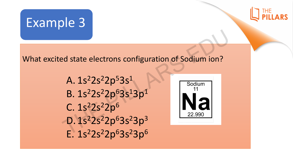



## What excited state electrons configuration of Sodium ion?

A.  $1s^22s^22p^53s^1$ B. 1s<sup>2</sup>2s<sup>2</sup>2p<sup>6</sup>3s<sup>1</sup>3p<sup>1</sup>  $C. 1s<sup>2</sup>2s<sup>2</sup>2p<sup>6</sup>$ D. 1s<sup>2</sup>2s<sup>2</sup>2p<sup>6</sup>3s<sup>2</sup>3p<sup>3</sup> E. 1s<sup>2</sup>2s<sup>2</sup>2p<sup>6</sup>3s<sup>2</sup>3p<sup>6</sup> C.  $1s^22s^22$ <br>D.  $1s^22s^22$ <br>F.  $1s^22s^22$ From configuration of Sodium ion?<br>  $2p^53s^1$ <br>  $2p^63s^13p^1$ 

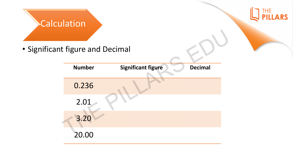

• Significant figure and Decimal

| t figure and Decimal |                           |                |
|----------------------|---------------------------|----------------|
| <b>Number</b>        | <b>Significant figure</b> | <b>Decimal</b> |
| 0.236                |                           |                |
| 2.01                 |                           |                |
| 3.20                 |                           |                |
| 20.00                |                           |                |

**THE** 

**ARS**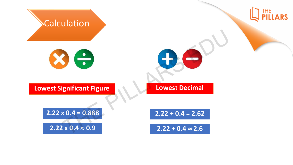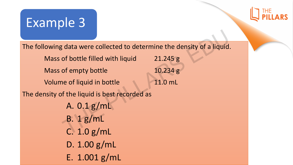## Example 3

The following data were collected to determine the density of a liquid.

Mass of bottle filled with liquid 21.245 g Mass of empty bottle 10.234 g Volume of liquid in bottle 11.0 mL The density of the liquid is best recorded as 9 data were collected to determine the density of a liquid<br>
of bottle filled with liquid  $\begin{array}{r} 21.245 \text{ g} \\ 10.234 \text{ g} \end{array}$ of empty bottle  $\begin{array}{r} 12.245 \text{ g} \\ 11.0 \text{ mL} \end{array}$ of the liquid is best recorded as
A.

A. 0.1 g/mL B. 1 g/mL C. 1.0 g/mL D. 1.00 g/mL E. 1.001 g/mL